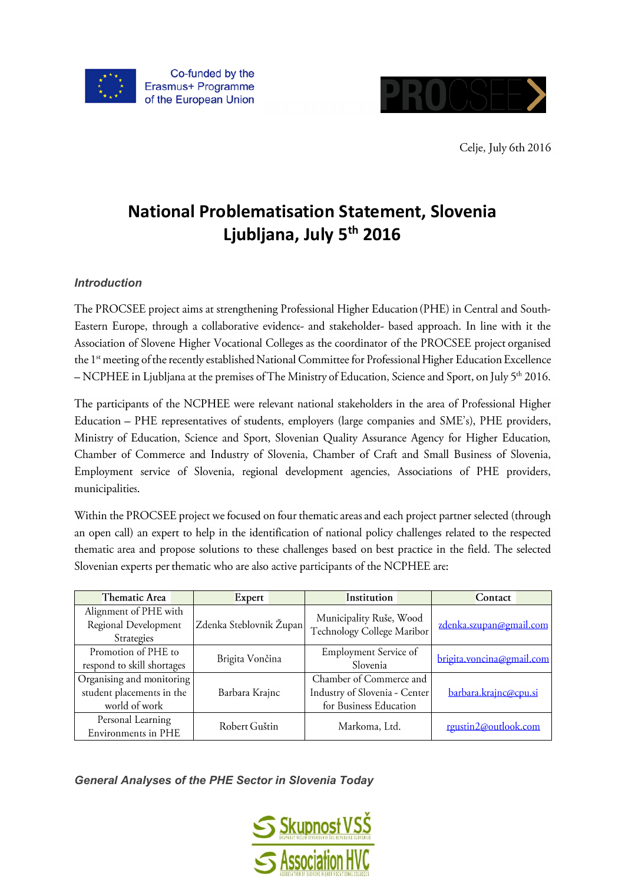



Celje, July 6th 2016

# **National Problematisation Statement, Slovenia Ljubljana, July 5 th 2016**

# *Introduction*

The PROCSEE project aims at strengthening Professional Higher Education (PHE) in Central and South-Eastern Europe, through a collaborative evidence- and stakeholder- based approach. In line with it the Association of Slovene Higher Vocational Colleges as the coordinator of the PROCSEE project organised the 1<sup>st</sup> meeting of the recently established National Committee for Professional Higher Education Excellence - NCPHEE in Ljubljana at the premises of The Ministry of Education, Science and Sport, on July 5<sup>th</sup> 2016.

The participants of the NCPHEE were relevant national stakeholders in the area of Professional Higher Education - PHE representatives of students, employers (large companies and SME's), PHE providers, Ministry of Education, Science and Sport, Slovenian Quality Assurance Agency for Higher Education, Chamber of Commerce and Industry of Slovenia, Chamber of Craft and Small Business of Slovenia, Employment service of Slovenia, regional development agencies, Associations of PHE providers, municipalities.

Within the PROCSEE project we focused on four thematic areas and each project partner selected (through an open call) an expert to help in the identification of national policy challenges related to the respected thematic area and propose solutions to these challenges based on best practice in the field. The selected Slovenian experts per thematic who are also active participants of the NCPHEE are:

| Thematic Area              | Expert                  | Institution                   | Contact                   |
|----------------------------|-------------------------|-------------------------------|---------------------------|
| Alignment of PHE with      |                         | Municipality Ruše, Wood       |                           |
| Regional Development       | Zdenka Steblovnik Župan | Technology College Maribor    | zdenka.szupan@gmail.com   |
| Strategies                 |                         |                               |                           |
| Promotion of PHE to        | Brigita Vončina         | Employment Service of         | brigita.voncina@gmail.com |
| respond to skill shortages |                         | Slovenia                      |                           |
| Organising and monitoring  |                         | Chamber of Commerce and       |                           |
| student placements in the  | Barbara Krajnc          | Industry of Slovenia - Center | barbara.krajnc@cpu.si     |
| world of work              |                         | for Business Education        |                           |
| Personal Learning          | Robert Guštin           | Markoma, Ltd.                 | rgustin2@outlook.com      |
| Environments in PHE        |                         |                               |                           |

*General Analyses of the PHE Sector in Slovenia Today*

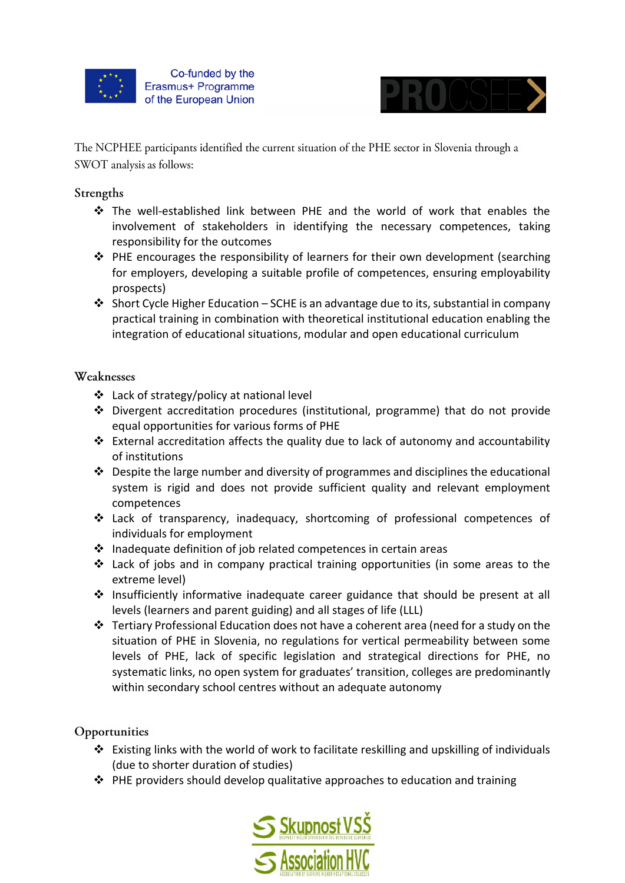



The NCPHEE participants identified the current situation of the PHE sector in Slovenia through a SWOT analysis as follows:

### Strengths

- The well-established link between PHE and the world of work that enables the involvement of stakeholders in identifying the necessary competences, taking responsibility for the outcomes
- PHE encourages the responsibility of learners for their own development (searching for employers, developing a suitable profile of competences, ensuring employability prospects)
- Short Cycle Higher Education SCHE is an advantage due to its, substantial in company practical training in combination with theoretical institutional education enabling the integration of educational situations, modular and open educational curriculum

#### Weaknesses

- Lack of strategy/policy at national level
- Divergent accreditation procedures (institutional, programme) that do not provide equal opportunities for various forms of PHE
- External accreditation affects the quality due to lack of autonomy and accountability of institutions
- $\cdot$  Despite the large number and diversity of programmes and disciplines the educational system is rigid and does not provide sufficient quality and relevant employment competences
- $\div$  Lack of transparency, inadequacy, shortcoming of professional competences of individuals for employment
- $\cdot$  Inadequate definition of job related competences in certain areas
- $\triangleleft$  Lack of jobs and in company practical training opportunities (in some areas to the extreme level)
- Insufficiently informative inadequate career guidance that should be present at all levels (learners and parent guiding) and all stages of life (LLL)
- Fertiary Professional Education does not have a coherent area (need for a study on the situation of PHE in Slovenia, no regulations for vertical permeability between some levels of PHE, lack of specific legislation and strategical directions for PHE, no systematic links, no open system for graduates' transition, colleges are predominantly within secondary school centres without an adequate autonomy

# Opportunities

- Existing links with the world of work to facilitate reskilling and upskilling of individuals (due to shorter duration of studies)
- $\triangle$  PHE providers should develop qualitative approaches to education and training

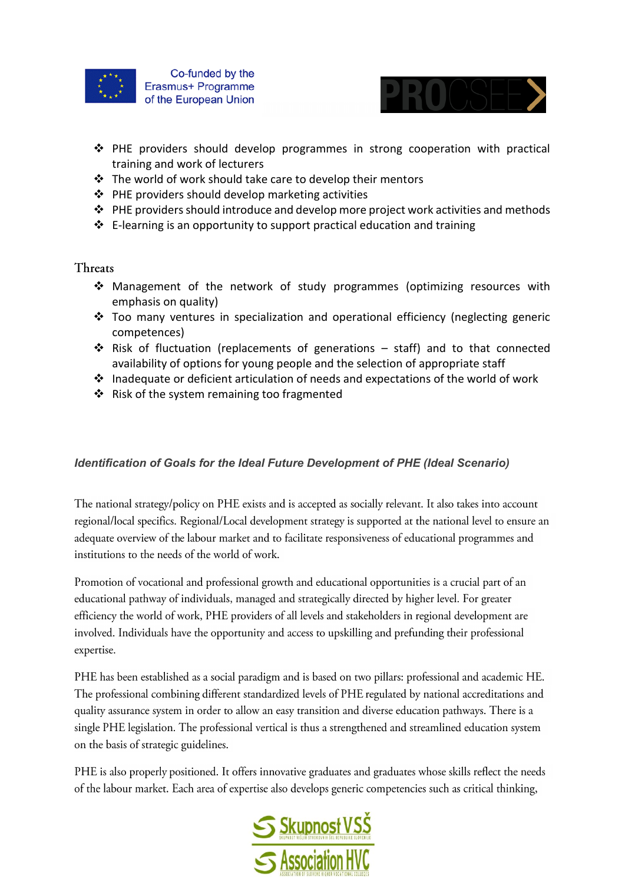



- PHE providers should develop programmes in strong cooperation with practical training and work of lecturers
- The world of work should take care to develop their mentors
- $\triangle$  PHE providers should develop marketing activities
- $\triangle$  PHE providers should introduce and develop more project work activities and methods
- $\triangleq$  E-learning is an opportunity to support practical education and training

#### Threats

- Management of the network of study programmes (optimizing resources with emphasis on quality)
- $\div$  Too many ventures in specialization and operational efficiency (neglecting generic competences)
- $\cdot$  Risk of fluctuation (replacements of generations staff) and to that connected availability of options for young people and the selection of appropriate staff
- $\cdot$  Inadequate or deficient articulation of needs and expectations of the world of work
- ❖ Risk of the system remaining too fragmented

#### *Identification of Goals for the Ideal Future Development of PHE (Ideal Scenario)*

The national strategy/policy on PHE exists and is accepted as socially relevant. It also takes into account regional/local specifics. Regional/Local development strategy is supported at the national level to ensure an adequate overview of the labour market and to facilitate responsiveness of educational programmes and institutions to the needs of the world of work.

Promotion of vocational and professional growth and educational opportunities is a crucial part of an educational pathway of individuals, managed and strategically directed by higher level. For greater efficiency the world of work, PHE providers of all levels and stakeholders in regional development are involved. Individuals have the opportunity and access to upskilling and prefunding their professional expertise.

PHE has been established as a social paradigm and is based on two pillars: professional and academic HE. The professional combining different standardized levels of PHE regulated by national accreditations and quality assurance system in order to allow an easy transition and diverse education pathways. There is a single PHE legislation. The professional vertical is thus a strengthened and streamlined education system on the basis of strategic guidelines.

PHE is also properly positioned. It offers innovative graduates and graduates whose skills reflect the needs of the labour market. Each area of expertise also develops generic competencies such as critical thinking,